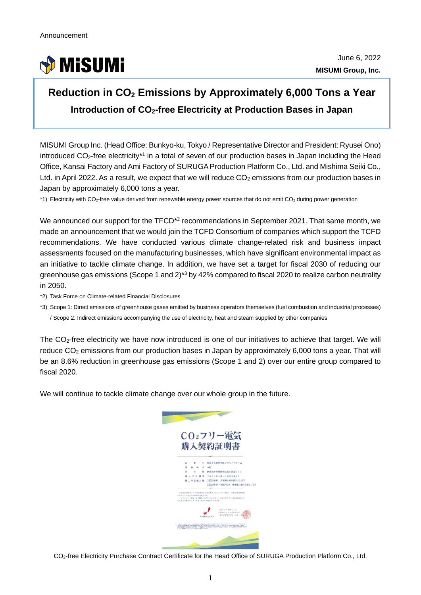

## **Reduction in CO2 Emissions by Approximately 6,000 Tons a Year Introduction of CO2-free Electricity at Production Bases in Japan**

MISUMI Group Inc. (Head Office: Bunkyo-ku, Tokyo / Representative Director and President: Ryusei Ono) introduced  $CO<sub>2</sub>$ -free electricity<sup>\*1</sup> in a total of seven of our production bases in Japan including the Head Office, Kansai Factory and Ami Factory of SURUGA Production Platform Co., Ltd. and Mishima Seiki Co., Ltd. in April 2022. As a result, we expect that we will reduce  $CO<sub>2</sub>$  emissions from our production bases in Japan by approximately 6,000 tons a year.

\*1) Electricity with CO<sub>2</sub>-free value derived from renewable energy power sources that do not emit CO<sub>2</sub> during power generation

We announced our support for the TFCD<sup>\*2</sup> recommendations in September 2021. That same month, we made an announcement that we would join the TCFD Consortium of companies which support the TCFD recommendations. We have conducted various climate change-related risk and business impact assessments focused on the manufacturing businesses, which have significant environmental impact as an initiative to tackle climate change. In addition, we have set a target for fiscal 2030 of reducing our greenhouse gas emissions (Scope 1 and 2)\*3 by 42% compared to fiscal 2020 to realize carbon neutrality in 2050.

\*2) Task Force on Climate-related Financial Disclosures

\*3) Scope 1: Direct emissions of greenhouse gases emitted by business operators themselves (fuel combustion and industrial processes) / Scope 2: Indirect emissions accompanying the use of electricity, heat and steam supplied by other companies

The CO<sub>2</sub>-free electricity we have now introduced is one of our initiatives to achieve that target. We will reduce  $CO<sub>2</sub>$  emissions from our production bases in Japan by approximately 6,000 tons a year. That will be an 8.6% reduction in greenhouse gas emissions (Scope 1 and 2) over our entire group compared to fiscal 2020.

We will continue to tackle climate change over our whole group in the future.



CO2-free Electricity Purchase Contract Certificate for the Head Office of SURUGA Production Platform Co., Ltd.